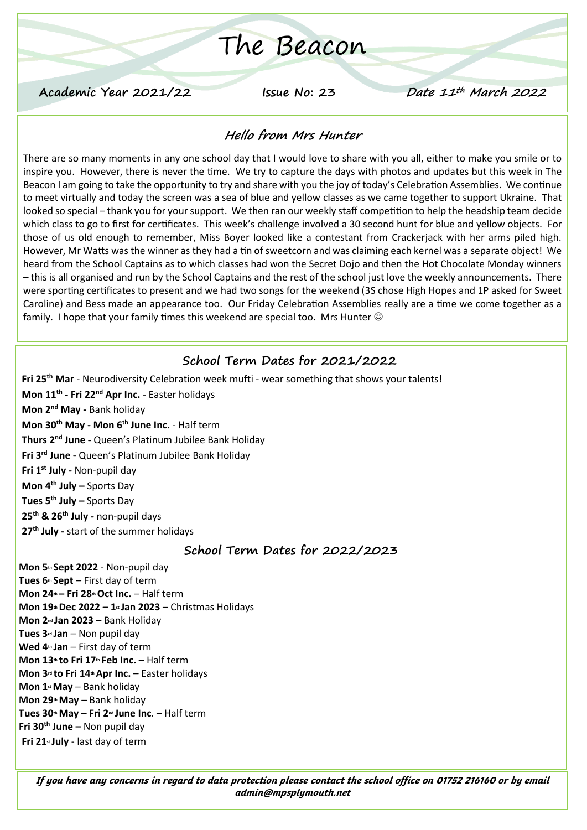# The Beacon

**Academic Year 2021/22 Issue No: 23 Date 11th March 2022**

#### **Hello from Mrs Hunter**

There are so many moments in any one school day that I would love to share with you all, either to make you smile or to inspire you. However, there is never the time. We try to capture the days with photos and updates but this week in The Beacon I am going to take the opportunity to try and share with you the joy of today's Celebration Assemblies. We continue to meet virtually and today the screen was a sea of blue and yellow classes as we came together to support Ukraine. That looked so special – thank you for your support. We then ran our weekly staff competition to help the headship team decide which class to go to first for certificates. This week's challenge involved a 30 second hunt for blue and yellow objects. For those of us old enough to remember, Miss Boyer looked like a contestant from Crackerjack with her arms piled high. However, Mr Watts was the winner as they had a tin of sweetcorn and was claiming each kernel was a separate object! We heard from the School Captains as to which classes had won the Secret Dojo and then the Hot Chocolate Monday winners – this is all organised and run by the School Captains and the rest of the school just love the weekly announcements. There were sporting certificates to present and we had two songs for the weekend (3S chose High Hopes and 1P asked for Sweet Caroline) and Bess made an appearance too. Our Friday Celebration Assemblies really are a time we come together as a family. I hope that your family times this weekend are special too. Mrs Hunter  $\odot$ 

## **School Term Dates for 2021/2022**

**Fri 25th Mar** - Neurodiversity Celebration week mufti - wear something that shows your talents! **Mon 11th - Fri 22nd Apr Inc.** - Easter holidays **Mon 2nd May -** Bank holiday **Mon 30th May - Mon 6th June Inc.** - Half term **Thurs 2nd June -** Queen's Platinum Jubilee Bank Holiday **Fri 3rd June -** Queen's Platinum Jubilee Bank Holiday **Fri 1st July -** Non-pupil day **Mon 4th July –** Sports Day **Tues 5th July –** Sports Day **25th & 26th July -** non-pupil days **27th July -** start of the summer holidays

#### **School Term Dates for 2022/2023**

**Mon 5th Sept 2022** - Non-pupil day **Tues 6th Sept** – First day of term **Mon 24th – Fri 28thOct Inc.** – Half term **Mon 19thDec 2022 – 1st Jan 2023** – Christmas Holidays **Mon 2nd Jan 2023** – Bank Holiday **Tues 3rd Jan** – Non pupil day **Wed 4th Jan** – First day of term **Mon 13th to Fri 17th Feb Inc.** – Half term **Mon 3rd to Fri 14thApr Inc.** – Easter holidays **Mon 1stMay** – Bank holiday **Mon 29thMay** – Bank holiday **Tues 30thMay – Fri 2nd June Inc**. – Half term **Fri 30th June –** Non pupil day **Fri 21st July** - last day of term

*If you have any concerns in regard to data protection please contact the school office on 01752 216160 or by email admin@mpsplymouth.net*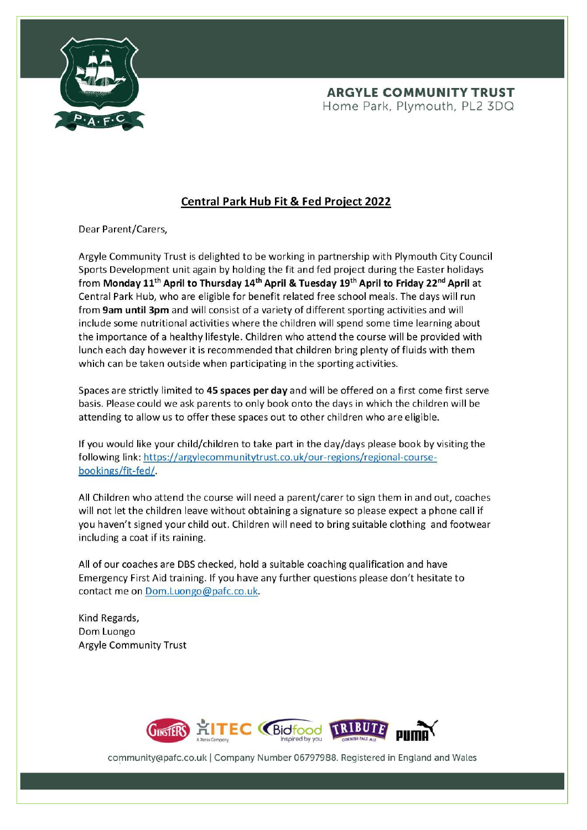

### **Central Park Hub Fit & Fed Project 2022**

Dear Parent/Carers,

Argyle Community Trust is delighted to be working in partnership with Plymouth City Council Sports Development unit again by holding the fit and fed project during the Easter holidays from Monday 11<sup>th</sup> April to Thursday 14<sup>th</sup> April & Tuesday 19<sup>th</sup> April to Friday 22<sup>nd</sup> April at Central Park Hub, who are eligible for benefit related free school meals. The days will run from 9am until 3pm and will consist of a variety of different sporting activities and will include some nutritional activities where the children will spend some time learning about the importance of a healthy lifestyle. Children who attend the course will be provided with lunch each day however it is recommended that children bring plenty of fluids with them which can be taken outside when participating in the sporting activities.

Spaces are strictly limited to 45 spaces per day and will be offered on a first come first serve basis. Please could we ask parents to only book onto the days in which the children will be attending to allow us to offer these spaces out to other children who are eligible.

If you would like your child/children to take part in the day/days please book by visiting the following link: https://argylecommunitytrust.co.uk/our-regions/regional-coursebookings/fit-fed/.

All Children who attend the course will need a parent/carer to sign them in and out, coaches will not let the children leave without obtaining a signature so please expect a phone call if you haven't signed your child out. Children will need to bring suitable clothing and footwear including a coat if its raining.

All of our coaches are DBS checked, hold a suitable coaching qualification and have Emergency First Aid training. If you have any further questions please don't hesitate to contact me on Dom.Luongo@pafc.co.uk.

Kind Regards, Dom Luongo **Argyle Community Trust** 



community@pafc.co.uk | Company Number 06797988. Registered in England and Wales